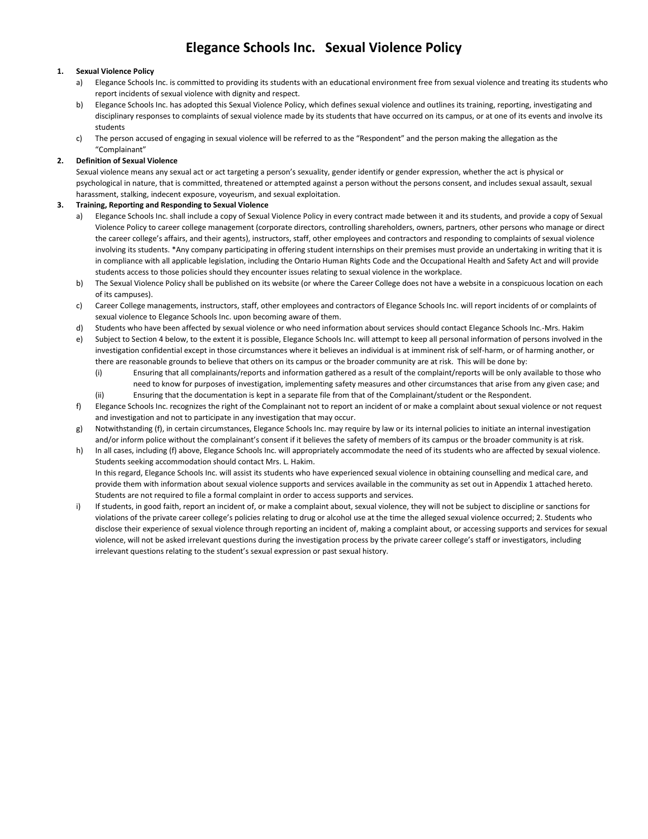# **Elegance Schools Inc. Sexual Violence Policy**

## **1. Sexual Violence Policy**

- a) Elegance Schools Inc. is committed to providing its students with an educational environment free from sexual violence and treating its students who report incidents of sexual violence with dignity and respect.
- b) Elegance Schools Inc. has adopted this Sexual Violence Policy, which defines sexual violence and outlines its training, reporting, investigating and disciplinary responses to complaints of sexual violence made by its students that have occurred on its campus, or at one of its events and involve its students
- c) The person accused of engaging in sexual violence will be referred to as the "Respondent" and the person making the allegation as the "Complainant"

## **2. Definition of Sexual Violence**

Sexual violence means any sexual act or act targeting a person's sexuality, gender identify or gender expression, whether the act is physical or psychological in nature, that is committed, threatened or attempted against a person without the persons consent, and includes sexual assault, sexual harassment, stalking, indecent exposure, voyeurism, and sexual exploitation.

## **3. Training, Reporting and Responding to Sexual Violence**

- a) Elegance Schools Inc. shall include a copy of Sexual Violence Policy in every contract made between it and its students, and provide a copy of Sexual Violence Policy to career college management (corporate directors, controlling shareholders, owners, partners, other persons who manage or direct the career college's affairs, and their agents), instructors, staff, other employees and contractors and responding to complaints of sexual violence involving its students. \*Any company participating in offering student internships on their premises must provide an undertaking in writing that it is in compliance with all applicable legislation, including the Ontario Human Rights Code and the Occupational Health and Safety Act and will provide students access to those policies should they encounter issues relating to sexual violence in the workplace.
- b) The Sexual Violence Policy shall be published on its website (or where the Career College does not have a website in a conspicuous location on each of its campuses).
- c) Career College managements, instructors, staff, other employees and contractors of Elegance Schools Inc. will report incidents of or complaints of sexual violence to Elegance Schools Inc. upon becoming aware of them.
- d) Students who have been affected by sexual violence or who need information about services should contact Elegance Schools Inc.-Mrs. Hakim
- e) Subject to Section 4 below, to the extent it is possible, Elegance Schools Inc. will attempt to keep all personal information of persons involved in the investigation confidential except in those circumstances where it believes an individual is at imminent risk of self-harm, or of harming another, or there are reasonable grounds to believe that others on its campus or the broader community are at risk. This will be done by:
	- (i) Ensuring that all complainants/reports and information gathered as a result of the complaint/reports will be only available to those who need to know for purposes of investigation, implementing safety measures and other circumstances that arise from any given case; and (ii) Ensuring that the documentation is kept in a separate file from that of the Complainant/student or the Respondent.
- f) Elegance Schools Inc. recognizes the right of the Complainant not to report an incident of or make a complaint about sexual violence or not request and investigation and not to participate in any investigation that may occur.
- g) Notwithstanding (f), in certain circumstances, Elegance Schools Inc. may require by law or its internal policies to initiate an internal investigation and/or inform police without the complainant's consent if it believes the safety of members of its campus or the broader community is at risk.
- h) In all cases, including (f) above, Elegance Schools Inc. will appropriately accommodate the need of its students who are affected by sexual violence. Students seeking accommodation should contact Mrs. L. Hakim. In this regard, Elegance Schools Inc. will assist its students who have experienced sexual violence in obtaining counselling and medical care, and provide them with information about sexual violence supports and services available in the community as set out in Appendix 1 attached hereto.
- Students are not required to file a formal complaint in order to access supports and services. i) If students, in good faith, report an incident of, or make a complaint about, sexual violence, they will not be subject to discipline or sanctions for violations of the private career college's policies relating to drug or alcohol use at the time the alleged sexual violence occurred; 2. Students who disclose their experience of sexual violence through reporting an incident of, making a complaint about, or accessing supports and services for sexual violence, will not be asked irrelevant questions during the investigation process by the private career college's staff or investigators, including irrelevant questions relating to the student's sexual expression or past sexual history.